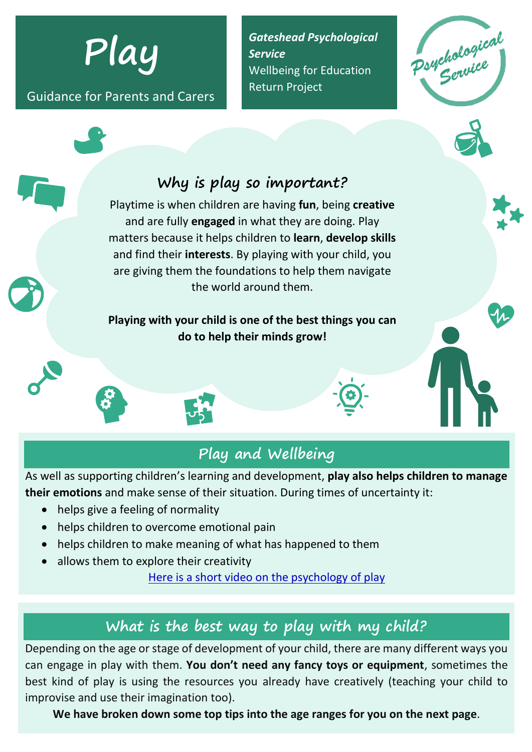**Play**

Guidance for Parents and Carers

*Gateshead Psychological Service* Wellbeing for Education Return Project

Porthological



#### **Playing with your child is one of the best things you can do to help their minds grow!**

the world around them.



As well as supporting children's learning and development, **play also helps children to manage their emotions** and make sense of their situation. During times of uncertainty it:

- helps give a feeling of normality
- helps children to overcome emotional pain
- helps children to make meaning of what has happened to them
- allows them to explore their creativity

Here is a short video [on the psychology of play](https://www.youtube.com/watch?v=9mgeOkq2yyg&feature=youtu.be)

## **What is the best way to play with my child?**

Depending on the age or stage of development of your child, there are many different ways you can engage in play with them. **You don't need any fancy toys or equipment**, sometimes the best kind of play is using the resources you already have creatively (teaching your child to improvise and use their imagination too).

**We have broken down some top tips into the age ranges for you on the next page**.